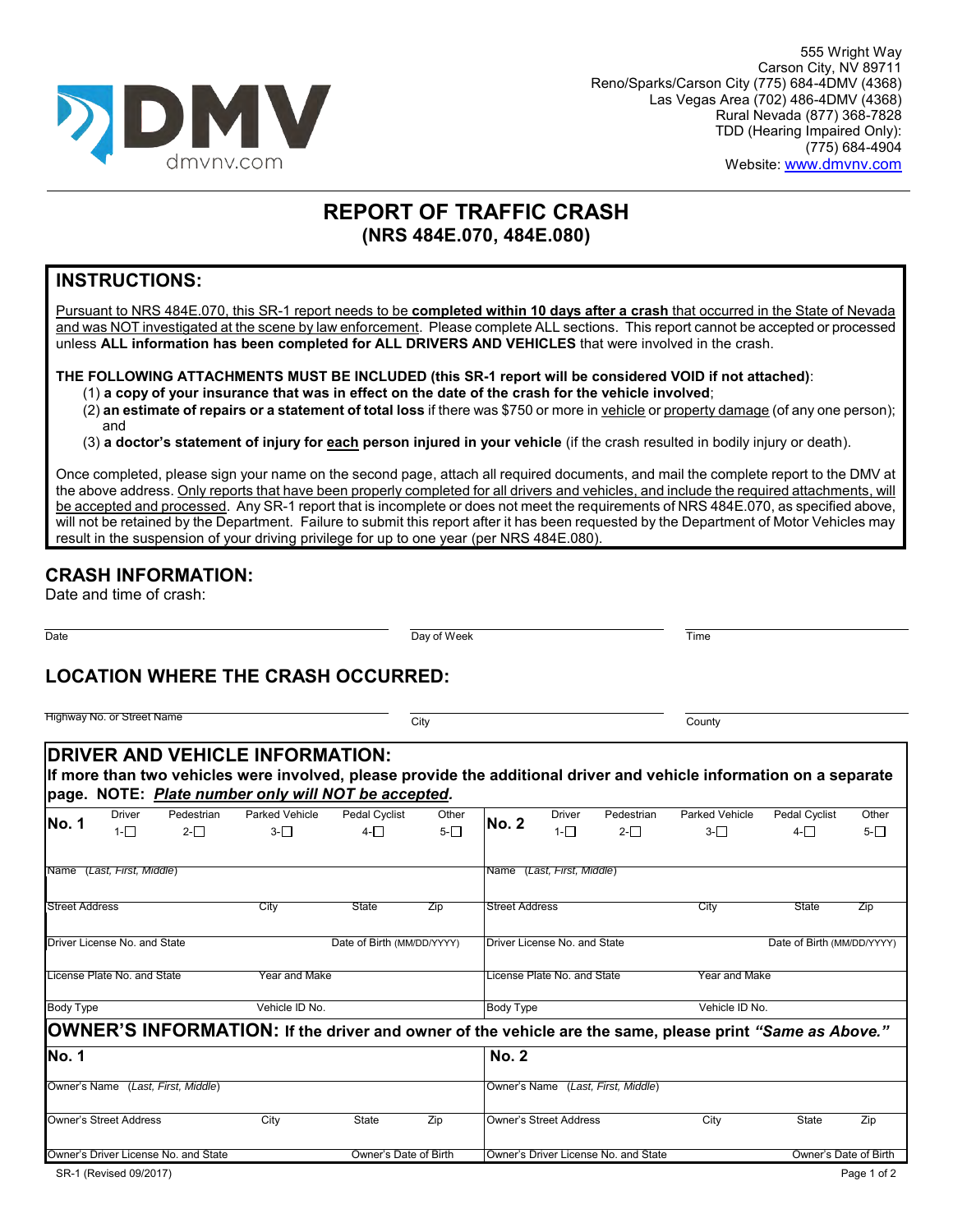

# **REPORT OF TRAFFIC CRASH (NRS 484E.070, 484E.080)**

### **INSTRUCTIONS:**

Pursuant to NRS 484E.070, this SR-1 report needs to be **completed within 10 days after a crash** that occurred in the State of Nevada and was NOT investigated at the scene by law enforcement. Please complete ALL sections. This report cannot be accepted or processed unless **ALL information has been completed for ALL DRIVERS AND VEHICLES** that were involved in the crash.

### **THE FOLLOWING ATTACHMENTS MUST BE INCLUDED (this SR-1 report will be considered VOID if not attached)**:

(1) **a copy of your insurance that was in effect on the date of the crash for the vehicle involved**;

(2) **an estimate of repairs or a statement of total loss** if there was \$750 or more in vehicle or property damage (of any one person); and

(3) **a doctor's statement of injury for each person injured in your vehicle** (if the crash resulted in bodily injury or death).

Once completed, please sign your name on the second page, attach all required documents, and mail the complete report to the DMV at the above address. Only reports that have been properly completed for all drivers and vehicles, and include the required attachments, will be accepted and processed. Any SR-1 report that is incomplete or does not meet the requirements of NRS 484E.070, as specified above, will not be retained by the Department. Failure to submit this report after it has been requested by the Department of Motor Vehicles may result in the suspension of your driving privilege for up to one year (per NRS 484E.080).

## **CRASH INFORMATION:**

Date and time of crash:

Date Day of Week Time

# **LOCATION WHERE THE CRASH OCCURRED:**

| Highway No. or Street Name                                                                                                                                                                                                  | City                          |                                      | County         |                            |  |  |
|-----------------------------------------------------------------------------------------------------------------------------------------------------------------------------------------------------------------------------|-------------------------------|--------------------------------------|----------------|----------------------------|--|--|
| <b>DRIVER AND VEHICLE INFORMATION:</b><br>If more than two vehicles were involved, please provide the additional driver and vehicle information on a separate<br>page. NOTE: <i>Plate number only will NOT be accepted.</i> |                               |                                      |                |                            |  |  |
| <b>Parked Vehicle</b><br>Pedestrian<br>Driver<br><b>No. 1</b>                                                                                                                                                               | <b>Pedal Cyclist</b><br>Other | Pedestrian<br>Driver<br><b>No. 2</b> | Parked Vehicle | Pedal Cyclist<br>Other     |  |  |
| $2-\Box$<br>$3-\Box$<br>$1-\Box$                                                                                                                                                                                            | 5-∏<br>$4-\Box$               | $2-\Box$<br>$1-\Box$                 | $3-\Box$       | $5-\Box$<br>$4-\Box$       |  |  |
| Name (Last, First, Middle)                                                                                                                                                                                                  |                               | Name (Last, First, Middle)           |                |                            |  |  |
| <b>Street Address</b><br>City                                                                                                                                                                                               | State<br>Zip                  | <b>Street Address</b>                | City           | State<br>Zip               |  |  |
| Driver License No. and State                                                                                                                                                                                                | Date of Birth (MM/DD/YYYY)    | Driver License No. and State         |                | Date of Birth (MM/DD/YYYY) |  |  |
| License Plate No. and State                                                                                                                                                                                                 | Year and Make                 | License Plate No. and State          | Year and Make  |                            |  |  |
| <b>Body Type</b>                                                                                                                                                                                                            | Vehicle ID No.                | <b>Body Type</b>                     | Vehicle ID No. |                            |  |  |
| OWNER'S INFORMATION: If the driver and owner of the vehicle are the same, please print "Same as Above."                                                                                                                     |                               |                                      |                |                            |  |  |
| <b>No. 1</b>                                                                                                                                                                                                                |                               | <b>No. 2</b>                         |                |                            |  |  |
| Owner's Name (Last, First, Middle)                                                                                                                                                                                          |                               | Owner's Name (Last, First, Middle)   |                |                            |  |  |
| <b>Owner's Street Address</b><br>City                                                                                                                                                                                       | Zip<br>State                  | <b>Owner's Street Address</b>        | City           | State<br>Zip               |  |  |
| Owner's Driver License No. and State                                                                                                                                                                                        | Owner's Date of Birth         | Owner's Driver License No. and State |                | Owner's Date of Birth      |  |  |